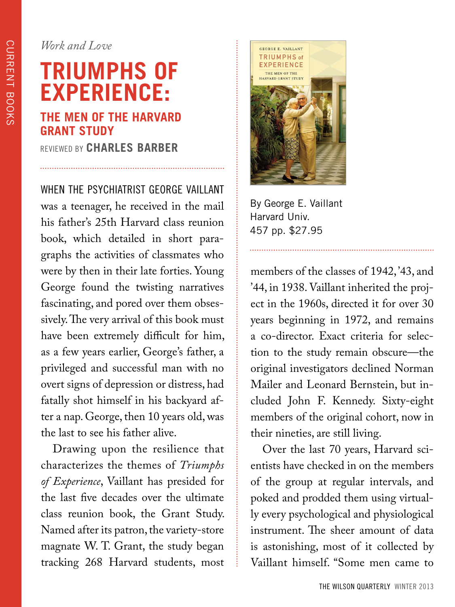*Work and Love*

## **TRIUMPHS OF EXPERIENCE: THE MEN OF THE HARVARD GRANT STUDY**

REVIEWED BY **CHARLES BARBER**

WHEN THE PSYCHIATRIST GEORGE VAILLANT was a teenager, he received in the mail his father's 25th Harvard class reunion book, which detailed in short paragraphs the activities of classmates who were by then in their late forties. Young George found the twisting narratives fascinating, and pored over them obsessively. The very arrival of this book must have been extremely difficult for him, as a few years earlier, George's father, a privileged and successful man with no overt signs of depression or distress, had fatally shot himself in his backyard after a nap. George, then 10 years old, was the last to see his father alive.

Drawing upon the resilience that characterizes the themes of *Triumphs of Experience*, Vaillant has presided for the last five decades over the ultimate class reunion book, the Grant Study. Named after its patron, the variety-store magnate W. T. Grant, the study began tracking 268 Harvard students, most



By George E. Vaillant Harvard Univ. 457 pp. \$27.95

members of the classes of 1942, '43, and '44, in 1938. Vaillant inherited the project in the 1960s, directed it for over 30 years beginning in 1972, and remains a co-director. Exact criteria for selection to the study remain obscure—the original investigators declined Norman Mailer and Leonard Bernstein, but included John F. Kennedy. Sixty-eight members of the original cohort, now in their nineties, are still living.

Over the last 70 years, Harvard scientists have checked in on the members of the group at regular intervals, and poked and prodded them using virtually every psychological and physiological instrument. The sheer amount of data is astonishing, most of it collected by Vaillant himself. "Some men came to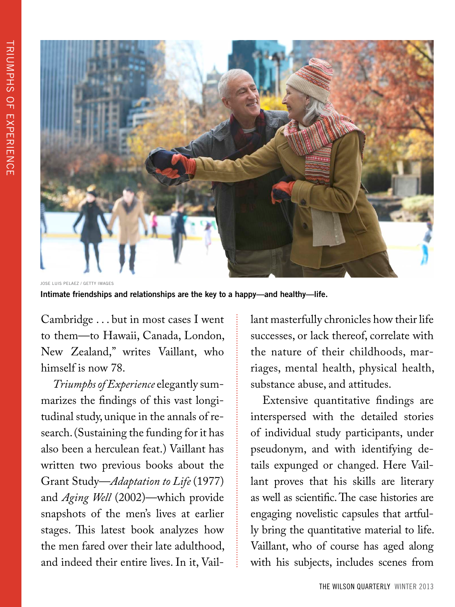

JOSE LUIS PELAEZ / GETTY IMAGES

**Intimate friendships and relationships are the key to a happy—and healthy—life.** 

Cambridge . . . but in most cases I went to them—to Hawaii, Canada, London, New Zealand," writes Vaillant, who himself is now 78.

*Triumphs of Experience* elegantly summarizes the findings of this vast longitudinal study, unique in the annals of research. (Sustaining the funding for it has also been a herculean feat.) Vaillant has written two previous books about the Grant Study—*Adaptation to Life* (1977) and *Aging Well* (2002)—which provide snapshots of the men's lives at earlier stages. This latest book analyzes how the men fared over their late adulthood, and indeed their entire lives. In it, Vaillant masterfully chronicles how their life successes, or lack thereof, correlate with the nature of their childhoods, marriages, mental health, physical health, substance abuse, and attitudes.

Extensive quantitative findings are interspersed with the detailed stories of individual study participants, under pseudonym, and with identifying details expunged or changed. Here Vaillant proves that his skills are literary as well as scientific. The case histories are engaging novelistic capsules that artfully bring the quantitative material to life. Vaillant, who of course has aged along with his subjects, includes scenes from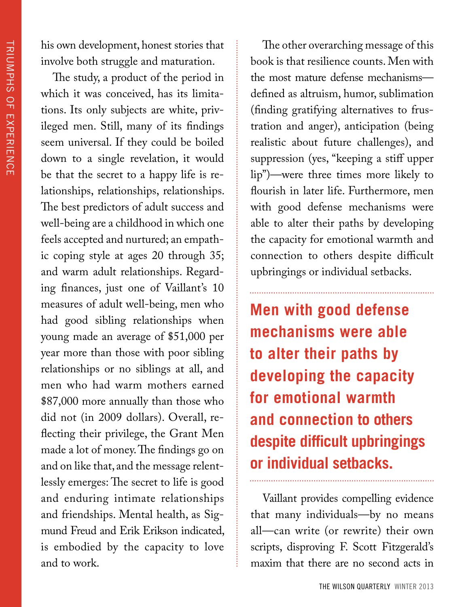his own development, honest stories that involve both struggle and maturation.

The study, a product of the period in which it was conceived, has its limitations. Its only subjects are white, privileged men. Still, many of its findings seem universal. If they could be boiled down to a single revelation, it would be that the secret to a happy life is relationships, relationships, relationships. The best predictors of adult success and well-being are a childhood in which one feels accepted and nurtured; an empathic coping style at ages 20 through 35; and warm adult relationships. Regarding finances, just one of Vaillant's 10 measures of adult well-being, men who had good sibling relationships when young made an average of \$51,000 per year more than those with poor sibling relationships or no siblings at all, and men who had warm mothers earned \$87,000 more annually than those who did not (in 2009 dollars). Overall, reflecting their privilege, the Grant Men made a lot of money. The findings go on and on like that, and the message relentlessly emerges: The secret to life is good and enduring intimate relationships and friendships. Mental health, as Sigmund Freud and Erik Erikson indicated, is embodied by the capacity to love and to work.

The other overarching message of this book is that resilience counts. Men with the most mature defense mechanisms defined as altruism, humor, sublimation (finding gratifying alternatives to frustration and anger), anticipation (being realistic about future challenges), and suppression (yes, "keeping a stiff upper lip")—were three times more likely to flourish in later life. Furthermore, men with good defense mechanisms were able to alter their paths by developing the capacity for emotional warmth and connection to others despite difficult upbringings or individual setbacks.

**Men with good defense mechanisms were able to alter their paths by developing the capacity for emotional warmth and connection to others despite difficult upbringings or individual setbacks.**

Vaillant provides compelling evidence that many individuals—by no means all—can write (or rewrite) their own scripts, disproving F. Scott Fitzgerald's maxim that there are no second acts in